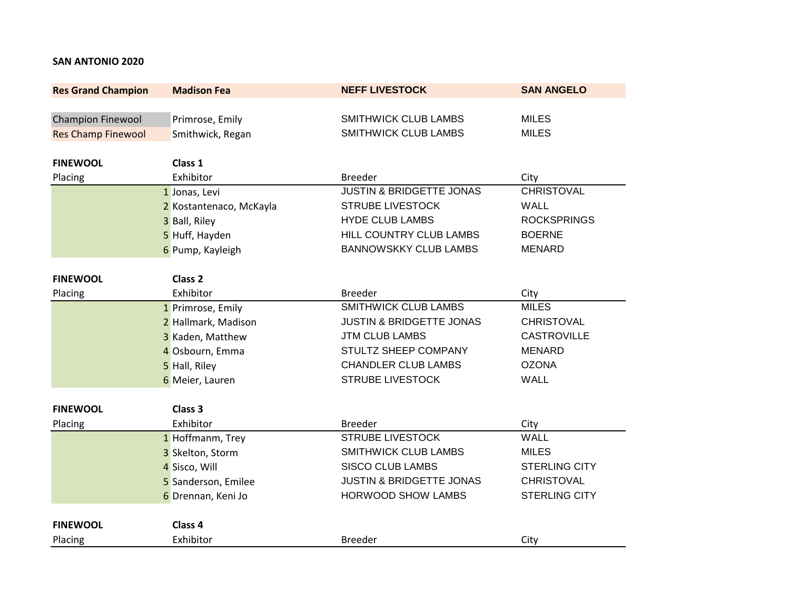## **SAN ANTONIO 2020**

| <b>Res Grand Champion</b> | <b>Madison Fea</b>      | <b>NEFF LIVESTOCK</b>               | <b>SAN ANGELO</b>    |
|---------------------------|-------------------------|-------------------------------------|----------------------|
|                           |                         |                                     |                      |
| <b>Champion Finewool</b>  | Primrose, Emily         | <b>SMITHWICK CLUB LAMBS</b>         | <b>MILES</b>         |
| <b>Res Champ Finewool</b> | Smithwick, Regan        | <b>SMITHWICK CLUB LAMBS</b>         | <b>MILES</b>         |
|                           |                         |                                     |                      |
| <b>FINEWOOL</b>           | Class 1                 |                                     |                      |
| Placing                   | Exhibitor               | <b>Breeder</b>                      | City                 |
|                           | 1 Jonas, Levi           | <b>JUSTIN &amp; BRIDGETTE JONAS</b> | <b>CHRISTOVAL</b>    |
|                           | 2 Kostantenaco, McKayla | <b>STRUBE LIVESTOCK</b>             | <b>WALL</b>          |
|                           | 3 Ball, Riley           | <b>HYDE CLUB LAMBS</b>              | <b>ROCKSPRINGS</b>   |
|                           | 5 Huff, Hayden          | HILL COUNTRY CLUB LAMBS             | <b>BOERNE</b>        |
|                           | 6 Pump, Kayleigh        | <b>BANNOWSKKY CLUB LAMBS</b>        | <b>MENARD</b>        |
| <b>FINEWOOL</b>           | Class <sub>2</sub>      |                                     |                      |
| Placing                   | Exhibitor               | <b>Breeder</b>                      | City                 |
|                           | 1 Primrose, Emily       | SMITHWICK CLUB LAMBS                | <b>MILES</b>         |
|                           | 2 Hallmark, Madison     | <b>JUSTIN &amp; BRIDGETTE JONAS</b> | <b>CHRISTOVAL</b>    |
|                           | 3 Kaden, Matthew        | <b>JTM CLUB LAMBS</b>               | <b>CASTROVILLE</b>   |
|                           | 4 Osbourn, Emma         | STULTZ SHEEP COMPANY                | <b>MENARD</b>        |
|                           | 5 Hall, Riley           | <b>CHANDLER CLUB LAMBS</b>          | <b>OZONA</b>         |
|                           | 6 Meier, Lauren         | <b>STRUBE LIVESTOCK</b>             | <b>WALL</b>          |
|                           |                         |                                     |                      |
| <b>FINEWOOL</b>           | Class 3                 |                                     |                      |
| Placing                   | Exhibitor               | <b>Breeder</b>                      | City                 |
|                           | 1 Hoffmanm, Trey        | <b>STRUBE LIVESTOCK</b>             | <b>WALL</b>          |
|                           | 3 Skelton, Storm        | <b>SMITHWICK CLUB LAMBS</b>         | <b>MILES</b>         |
|                           | 4 Sisco, Will           | <b>SISCO CLUB LAMBS</b>             | <b>STERLING CITY</b> |
|                           | 5 Sanderson, Emilee     | <b>JUSTIN &amp; BRIDGETTE JONAS</b> | <b>CHRISTOVAL</b>    |
|                           | 6 Drennan, Keni Jo      | <b>HORWOOD SHOW LAMBS</b>           | <b>STERLING CITY</b> |
| <b>FINEWOOL</b>           | Class 4                 |                                     |                      |
|                           | Exhibitor               |                                     |                      |
| Placing                   |                         | <b>Breeder</b>                      | City                 |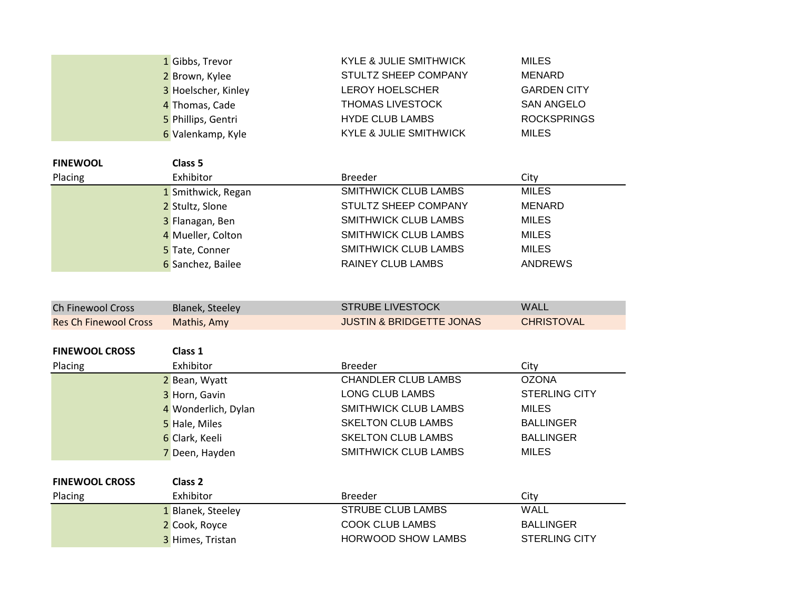|                              | 1 Gibbs, Trevor        | <b>KYLE &amp; JULIE SMITHWICK</b>   | <b>MILES</b>         |
|------------------------------|------------------------|-------------------------------------|----------------------|
|                              | 2 Brown, Kylee         | STULTZ SHEEP COMPANY                | <b>MENARD</b>        |
|                              | 3 Hoelscher, Kinley    | <b>LEROY HOELSCHER</b>              | <b>GARDEN CITY</b>   |
|                              | 4 Thomas, Cade         | THOMAS LIVESTOCK                    | <b>SAN ANGELO</b>    |
|                              | 5 Phillips, Gentri     | <b>HYDE CLUB LAMBS</b>              | <b>ROCKSPRINGS</b>   |
|                              | 6 Valenkamp, Kyle      | <b>KYLE &amp; JULIE SMITHWICK</b>   | <b>MILES</b>         |
| <b>FINEWOOL</b>              | Class 5                |                                     |                      |
| Placing                      | Exhibitor              | <b>Breeder</b>                      | City                 |
|                              | 1 Smithwick, Regan     | SMITHWICK CLUB LAMBS                | <b>MILES</b>         |
|                              | 2 Stultz, Slone        | STULTZ SHEEP COMPANY                | <b>MENARD</b>        |
|                              | 3 Flanagan, Ben        | <b>SMITHWICK CLUB LAMBS</b>         | <b>MILES</b>         |
|                              | 4 Mueller, Colton      | <b>SMITHWICK CLUB LAMBS</b>         | <b>MILES</b>         |
|                              | 5 Tate, Conner         | SMITHWICK CLUB LAMBS                | <b>MILES</b>         |
|                              | 6 Sanchez, Bailee      | <b>RAINEY CLUB LAMBS</b>            | <b>ANDREWS</b>       |
|                              |                        |                                     |                      |
|                              |                        |                                     |                      |
| <b>Ch Finewool Cross</b>     | <b>Blanek, Steeley</b> | <b>STRUBE LIVESTOCK</b>             | <b>WALL</b>          |
| <b>Res Ch Finewool Cross</b> | Mathis, Amy            | <b>JUSTIN &amp; BRIDGETTE JONAS</b> | <b>CHRISTOVAL</b>    |
|                              |                        |                                     |                      |
| <b>FINEWOOL CROSS</b>        | Class 1                |                                     |                      |
| Placing                      | Exhibitor              | <b>Breeder</b>                      | City                 |
|                              | 2 Bean, Wyatt          | <b>CHANDLER CLUB LAMBS</b>          | <b>OZONA</b>         |
|                              | 3 Horn, Gavin          | <b>LONG CLUB LAMBS</b>              | <b>STERLING CITY</b> |
|                              | 4 Wonderlich, Dylan    | <b>SMITHWICK CLUB LAMBS</b>         | <b>MILES</b>         |
|                              | 5 Hale, Miles          | <b>SKELTON CLUB LAMBS</b>           | <b>BALLINGER</b>     |
|                              | 6 Clark, Keeli         | <b>SKELTON CLUB LAMBS</b>           | <b>BALLINGER</b>     |
|                              | 7 Deen, Hayden         | SMITHWICK CLUB LAMBS                | <b>MILES</b>         |
|                              |                        |                                     |                      |
| <b>FINEWOOL CROSS</b>        | Class <sub>2</sub>     |                                     |                      |
| Placing                      | Exhibitor              | <b>Breeder</b>                      | City                 |
|                              | 1 Blanek, Steeley      | <b>STRUBE CLUB LAMBS</b>            | <b>WALL</b>          |
|                              | 2 Cook, Royce          | <b>COOK CLUB LAMBS</b>              | <b>BALLINGER</b>     |
|                              |                        | <b>HORWOOD SHOW LAMBS</b>           | <b>STERLING CITY</b> |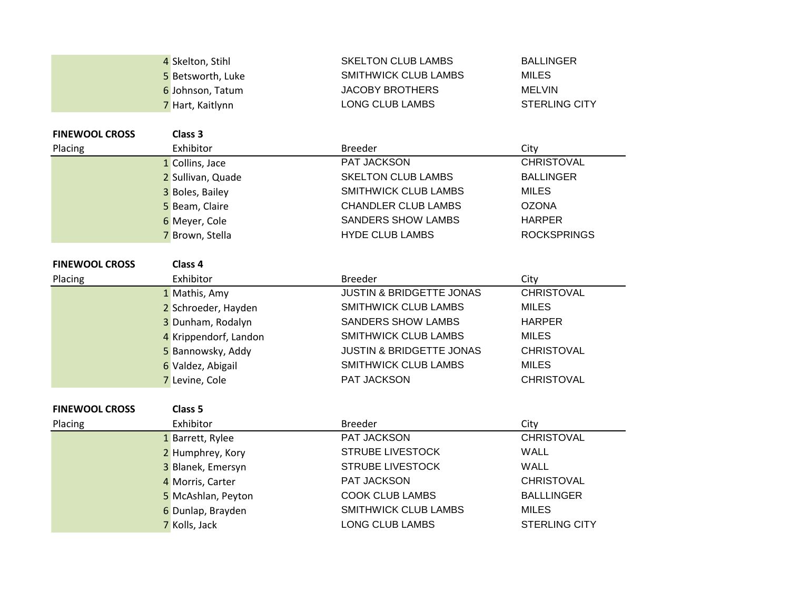|                       | 4 Skelton, Stihl      | <b>SKELTON CLUB LAMBS</b>           | <b>BALLINGER</b>     |
|-----------------------|-----------------------|-------------------------------------|----------------------|
|                       | 5 Betsworth, Luke     | <b>SMITHWICK CLUB LAMBS</b>         | <b>MILES</b>         |
|                       | 6 Johnson, Tatum      | <b>JACOBY BROTHERS</b>              | <b>MELVIN</b>        |
|                       | 7 Hart, Kaitlynn      | <b>LONG CLUB LAMBS</b>              | <b>STERLING CITY</b> |
|                       |                       |                                     |                      |
| <b>FINEWOOL CROSS</b> | Class 3               |                                     |                      |
| Placing               | Exhibitor             | <b>Breeder</b>                      | City                 |
|                       | 1 Collins, Jace       | PAT JACKSON                         | <b>CHRISTOVAL</b>    |
|                       | 2 Sullivan, Quade     | <b>SKELTON CLUB LAMBS</b>           | <b>BALLINGER</b>     |
|                       | 3 Boles, Bailey       | <b>SMITHWICK CLUB LAMBS</b>         | <b>MILES</b>         |
|                       | 5 Beam, Claire        | <b>CHANDLER CLUB LAMBS</b>          | <b>OZONA</b>         |
|                       | 6 Meyer, Cole         | <b>SANDERS SHOW LAMBS</b>           | <b>HARPER</b>        |
|                       | 7 Brown, Stella       | <b>HYDE CLUB LAMBS</b>              | <b>ROCKSPRINGS</b>   |
|                       |                       |                                     |                      |
| <b>FINEWOOL CROSS</b> | Class 4               |                                     |                      |
| Placing               | Exhibitor             | <b>Breeder</b>                      | City                 |
|                       | 1 Mathis, Amy         | <b>JUSTIN &amp; BRIDGETTE JONAS</b> | <b>CHRISTOVAL</b>    |
|                       | 2 Schroeder, Hayden   | <b>SMITHWICK CLUB LAMBS</b>         | <b>MILES</b>         |
|                       | 3 Dunham, Rodalyn     | <b>SANDERS SHOW LAMBS</b>           | <b>HARPER</b>        |
|                       | 4 Krippendorf, Landon | SMITHWICK CLUB LAMBS                | <b>MILES</b>         |
|                       | 5 Bannowsky, Addy     | <b>JUSTIN &amp; BRIDGETTE JONAS</b> | <b>CHRISTOVAL</b>    |
|                       | 6 Valdez, Abigail     | <b>SMITHWICK CLUB LAMBS</b>         | <b>MILES</b>         |
|                       | 7 Levine, Cole        | PAT JACKSON                         | <b>CHRISTOVAL</b>    |
|                       |                       |                                     |                      |
| <b>FINEWOOL CROSS</b> | Class <sub>5</sub>    |                                     |                      |
| Placing               | Exhibitor             | <b>Breeder</b>                      | City                 |
|                       | 1 Barrett, Rylee      | PAT JACKSON                         | <b>CHRISTOVAL</b>    |
|                       | 2 Humphrey, Kory      | <b>STRUBE LIVESTOCK</b>             | <b>WALL</b>          |
|                       | 3 Blanek, Emersyn     | <b>STRUBE LIVESTOCK</b>             | <b>WALL</b>          |
|                       | 4 Morris, Carter      | PAT JACKSON                         | <b>CHRISTOVAL</b>    |
|                       | 5 McAshlan, Peyton    | <b>COOK CLUB LAMBS</b>              | <b>BALLLINGER</b>    |
|                       | 6 Dunlap, Brayden     | <b>SMITHWICK CLUB LAMBS</b>         | <b>MILES</b>         |
|                       | 7 Kolls, Jack         | <b>LONG CLUB LAMBS</b>              | <b>STERLING CITY</b> |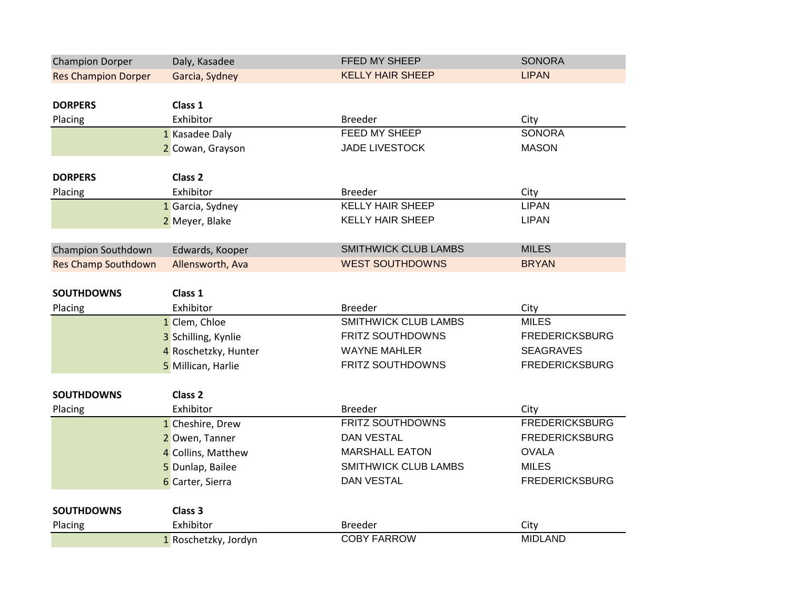| <b>Champion Dorper</b>     | Daly, Kasadee        | FFED MY SHEEP                             | <b>SONORA</b>         |
|----------------------------|----------------------|-------------------------------------------|-----------------------|
| <b>Res Champion Dorper</b> | Garcia, Sydney       | <b>KELLY HAIR SHEEP</b>                   | <b>LIPAN</b>          |
|                            |                      |                                           |                       |
| <b>DORPERS</b>             | Class 1              |                                           |                       |
| Placing                    | Exhibitor            | <b>Breeder</b>                            | City                  |
|                            | 1 Kasadee Daly       | FEED MY SHEEP                             | <b>SONORA</b>         |
|                            | 2 Cowan, Grayson     | <b>JADE LIVESTOCK</b>                     | <b>MASON</b>          |
| <b>DORPERS</b>             | Class <sub>2</sub>   |                                           |                       |
|                            | Exhibitor            |                                           |                       |
| Placing                    |                      | <b>Breeder</b><br><b>KELLY HAIR SHEEP</b> | City<br><b>LIPAN</b>  |
|                            | 1 Garcia, Sydney     |                                           |                       |
|                            | 2 Meyer, Blake       | <b>KELLY HAIR SHEEP</b>                   | <b>LIPAN</b>          |
| <b>Champion Southdown</b>  | Edwards, Kooper      | <b>SMITHWICK CLUB LAMBS</b>               | <b>MILES</b>          |
| <b>Res Champ Southdown</b> | Allensworth, Ava     | <b>WEST SOUTHDOWNS</b>                    | <b>BRYAN</b>          |
|                            |                      |                                           |                       |
| <b>SOUTHDOWNS</b>          | Class 1              |                                           |                       |
| Placing                    | Exhibitor            | <b>Breeder</b>                            | City                  |
|                            | 1 Clem, Chloe        | <b>SMITHWICK CLUB LAMBS</b>               | <b>MILES</b>          |
|                            | 3 Schilling, Kynlie  | <b>FRITZ SOUTHDOWNS</b>                   | <b>FREDERICKSBURG</b> |
|                            | 4 Roschetzky, Hunter | <b>WAYNE MAHLER</b>                       | <b>SEAGRAVES</b>      |
|                            | 5 Millican, Harlie   | FRITZ SOUTHDOWNS                          | <b>FREDERICKSBURG</b> |
| <b>SOUTHDOWNS</b>          | Class <sub>2</sub>   |                                           |                       |
| Placing                    | Exhibitor            | <b>Breeder</b>                            | City                  |
|                            | 1 Cheshire, Drew     | FRITZ SOUTHDOWNS                          | <b>FREDERICKSBURG</b> |
|                            | 2 Owen, Tanner       | <b>DAN VESTAL</b>                         | <b>FREDERICKSBURG</b> |
|                            |                      | <b>MARSHALL EATON</b>                     | <b>OVALA</b>          |
|                            | 4 Collins, Matthew   | SMITHWICK CLUB LAMBS                      | <b>MILES</b>          |
|                            | 5 Dunlap, Bailee     | <b>DAN VESTAL</b>                         | <b>FREDERICKSBURG</b> |
|                            |                      |                                           |                       |
|                            | 6 Carter, Sierra     |                                           |                       |
| <b>SOUTHDOWNS</b>          | Class 3              |                                           |                       |
| Placing                    | Exhibitor            | <b>Breeder</b>                            | City                  |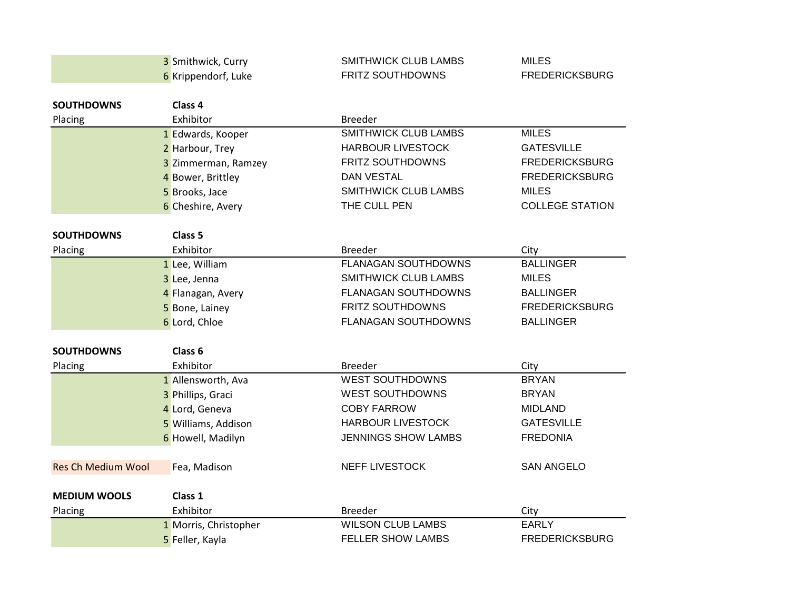|                           | 3 Smithwick, Curry    | <b>SMITHWICK CLUB LAMBS</b> | <b>MILES</b>           |
|---------------------------|-----------------------|-----------------------------|------------------------|
|                           | 6 Krippendorf, Luke   | <b>FRITZ SOUTHDOWNS</b>     | <b>FREDERICKSBURG</b>  |
|                           |                       |                             |                        |
| <b>SOUTHDOWNS</b>         | Class 4               |                             |                        |
| Placing                   | Exhibitor             | <b>Breeder</b>              |                        |
|                           | 1 Edwards, Kooper     | <b>SMITHWICK CLUB LAMBS</b> | <b>MILES</b>           |
|                           | 2 Harbour, Trey       | <b>HARBOUR LIVESTOCK</b>    | <b>GATESVILLE</b>      |
|                           | 3 Zimmerman, Ramzey   | FRITZ SOUTHDOWNS            | <b>FREDERICKSBURG</b>  |
|                           | 4 Bower, Brittley     | <b>DAN VESTAL</b>           | <b>FREDERICKSBURG</b>  |
|                           | 5 Brooks, Jace        | SMITHWICK CLUB LAMBS        | <b>MILES</b>           |
|                           | 6 Cheshire, Avery     | THE CULL PEN                | <b>COLLEGE STATION</b> |
| <b>SOUTHDOWNS</b>         | Class <sub>5</sub>    |                             |                        |
| Placing                   | Exhibitor             | <b>Breeder</b>              | City                   |
|                           | 1 Lee, William        | <b>FLANAGAN SOUTHDOWNS</b>  | <b>BALLINGER</b>       |
|                           | 3 Lee, Jenna          | <b>SMITHWICK CLUB LAMBS</b> | <b>MILES</b>           |
|                           | 4 Flanagan, Avery     | <b>FLANAGAN SOUTHDOWNS</b>  | <b>BALLINGER</b>       |
|                           | 5 Bone, Lainey        | <b>FRITZ SOUTHDOWNS</b>     | <b>FREDERICKSBURG</b>  |
|                           | 6 Lord, Chloe         | <b>FLANAGAN SOUTHDOWNS</b>  | <b>BALLINGER</b>       |
| <b>SOUTHDOWNS</b>         | Class <sub>6</sub>    |                             |                        |
| Placing                   | Exhibitor             | <b>Breeder</b>              | City                   |
|                           | 1 Allensworth, Ava    | <b>WEST SOUTHDOWNS</b>      | <b>BRYAN</b>           |
|                           | 3 Phillips, Graci     | <b>WEST SOUTHDOWNS</b>      | <b>BRYAN</b>           |
|                           | 4 Lord, Geneva        | <b>COBY FARROW</b>          | <b>MIDLAND</b>         |
|                           | 5 Williams, Addison   | <b>HARBOUR LIVESTOCK</b>    | <b>GATESVILLE</b>      |
|                           | 6 Howell, Madilyn     | JENNINGS SHOW LAMBS         | <b>FREDONIA</b>        |
|                           |                       |                             |                        |
| <b>Res Ch Medium Wool</b> | Fea, Madison          | <b>NEFF LIVESTOCK</b>       | <b>SAN ANGELO</b>      |
| <b>MEDIUM WOOLS</b>       | Class 1               |                             |                        |
| Placing                   | Exhibitor             | <b>Breeder</b>              | City                   |
|                           | 1 Morris, Christopher | <b>WILSON CLUB LAMBS</b>    | <b>EARLY</b>           |
|                           | 5 Feller, Kayla       | <b>FELLER SHOW LAMBS</b>    | <b>FREDERICKSBURG</b>  |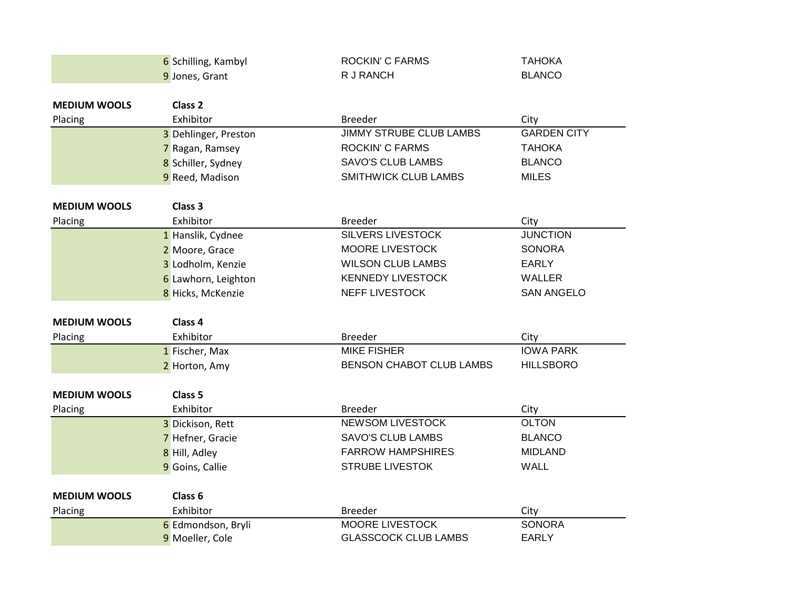|                     | 6 Schilling, Kambyl  | <b>ROCKIN' C FARMS</b>          | <b>TAHOKA</b>      |
|---------------------|----------------------|---------------------------------|--------------------|
|                     | 9 Jones, Grant       | R J RANCH                       | <b>BLANCO</b>      |
|                     |                      |                                 |                    |
| <b>MEDIUM WOOLS</b> | Class <sub>2</sub>   |                                 |                    |
| Placing             | Exhibitor            | <b>Breeder</b>                  | City               |
|                     | 3 Dehlinger, Preston | <b>JIMMY STRUBE CLUB LAMBS</b>  | <b>GARDEN CITY</b> |
|                     | 7 Ragan, Ramsey      | <b>ROCKIN' C FARMS</b>          | <b>TAHOKA</b>      |
|                     | 8 Schiller, Sydney   | <b>SAVO'S CLUB LAMBS</b>        | <b>BLANCO</b>      |
|                     | 9 Reed, Madison      | <b>SMITHWICK CLUB LAMBS</b>     | <b>MILES</b>       |
| <b>MEDIUM WOOLS</b> | Class <sub>3</sub>   |                                 |                    |
| Placing             | Exhibitor            | <b>Breeder</b>                  | City               |
|                     | 1 Hanslik, Cydnee    | <b>SILVERS LIVESTOCK</b>        | <b>JUNCTION</b>    |
|                     | 2 Moore, Grace       | MOORE LIVESTOCK                 | <b>SONORA</b>      |
|                     | 3 Lodholm, Kenzie    | <b>WILSON CLUB LAMBS</b>        | <b>EARLY</b>       |
|                     | 6 Lawhorn, Leighton  | <b>KENNEDY LIVESTOCK</b>        | <b>WALLER</b>      |
|                     | 8 Hicks, McKenzie    | <b>NEFF LIVESTOCK</b>           | <b>SAN ANGELO</b>  |
|                     |                      |                                 |                    |
| <b>MEDIUM WOOLS</b> | Class 4              |                                 |                    |
| Placing             | Exhibitor            | <b>Breeder</b>                  | City               |
|                     | 1 Fischer, Max       | <b>MIKE FISHER</b>              | <b>IOWA PARK</b>   |
|                     | 2 Horton, Amy        | <b>BENSON CHABOT CLUB LAMBS</b> | <b>HILLSBORO</b>   |
| <b>MEDIUM WOOLS</b> | Class <sub>5</sub>   |                                 |                    |
| Placing             | Exhibitor            | <b>Breeder</b>                  | City               |
|                     | 3 Dickison, Rett     | <b>NEWSOM LIVESTOCK</b>         | <b>OLTON</b>       |
|                     | 7 Hefner, Gracie     | <b>SAVO'S CLUB LAMBS</b>        | <b>BLANCO</b>      |
|                     | 8 Hill, Adley        | <b>FARROW HAMPSHIRES</b>        | <b>MIDLAND</b>     |
|                     | 9 Goins, Callie      | <b>STRUBE LIVESTOK</b>          | <b>WALL</b>        |
| <b>MEDIUM WOOLS</b> | Class 6              |                                 |                    |
| Placing             | Exhibitor            | <b>Breeder</b>                  | City               |
|                     | 6 Edmondson, Bryli   | <b>MOORE LIVESTOCK</b>          | <b>SONORA</b>      |
|                     | 9 Moeller, Cole      | <b>GLASSCOCK CLUB LAMBS</b>     | <b>EARLY</b>       |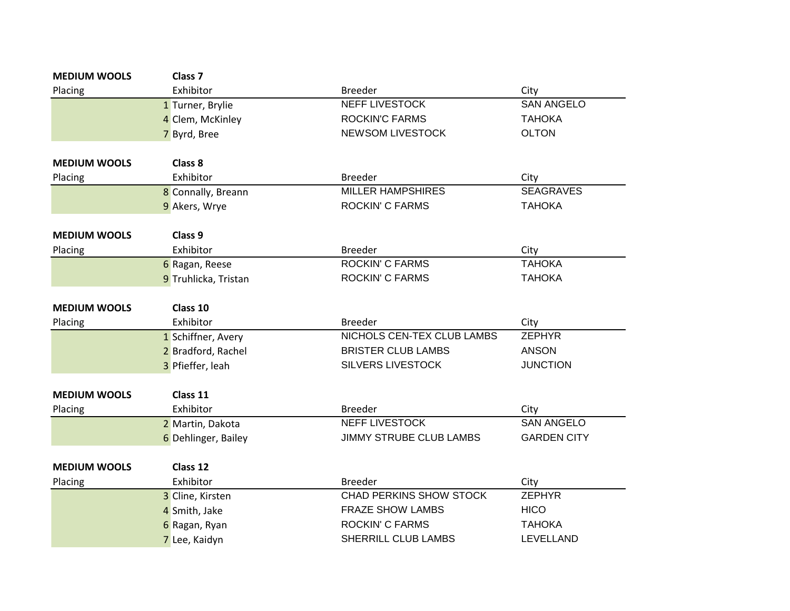| <b>MEDIUM WOOLS</b> | Class <sub>7</sub>   |                                |                           |
|---------------------|----------------------|--------------------------------|---------------------------|
| Placing             | Exhibitor            | <b>Breeder</b>                 | City                      |
|                     | 1 Turner, Brylie     | NEFF LIVESTOCK                 | <b>SAN ANGELO</b>         |
|                     | 4 Clem, McKinley     | <b>ROCKIN'C FARMS</b>          | <b>TAHOKA</b>             |
|                     | 7 Byrd, Bree         | <b>NEWSOM LIVESTOCK</b>        | <b>OLTON</b>              |
| <b>MEDIUM WOOLS</b> | Class 8              |                                |                           |
| Placing             | Exhibitor            | <b>Breeder</b>                 | City                      |
|                     | 8 Connally, Breann   | <b>MILLER HAMPSHIRES</b>       | <b>SEAGRAVES</b>          |
|                     | 9 Akers, Wrye        | <b>ROCKIN' C FARMS</b>         | <b>TAHOKA</b>             |
| <b>MEDIUM WOOLS</b> | Class 9              |                                |                           |
|                     | Exhibitor            | <b>Breeder</b>                 | City                      |
| Placing             | 6 Ragan, Reese       | <b>ROCKIN' C FARMS</b>         | <b>ТАНОКА</b>             |
|                     | 9 Truhlicka, Tristan | <b>ROCKIN' C FARMS</b>         | <b>TAHOKA</b>             |
|                     |                      |                                |                           |
| <b>MEDIUM WOOLS</b> | Class 10             |                                |                           |
| Placing             | Exhibitor            | <b>Breeder</b>                 | City                      |
|                     | 1 Schiffner, Avery   | NICHOLS CEN-TEX CLUB LAMBS     | <b>ZEPHYR</b>             |
|                     | 2 Bradford, Rachel   | <b>BRISTER CLUB LAMBS</b>      | <b>ANSON</b>              |
|                     | 3 Pfieffer, leah     | <b>SILVERS LIVESTOCK</b>       | <b>JUNCTION</b>           |
| <b>MEDIUM WOOLS</b> | Class 11             |                                |                           |
|                     | Exhibitor            | <b>Breeder</b>                 |                           |
| Placing             | 2 Martin, Dakota     | <b>NEFF LIVESTOCK</b>          | City<br><b>SAN ANGELO</b> |
|                     |                      | <b>JIMMY STRUBE CLUB LAMBS</b> | <b>GARDEN CITY</b>        |
|                     | 6 Dehlinger, Bailey  |                                |                           |
| <b>MEDIUM WOOLS</b> | Class 12             |                                |                           |
| Placing             | Exhibitor            | <b>Breeder</b>                 | City                      |
|                     | 3 Cline, Kirsten     | CHAD PERKINS SHOW STOCK        | <b>ZEPHYR</b>             |
|                     | 4 Smith, Jake        | <b>FRAZE SHOW LAMBS</b>        | <b>HICO</b>               |
|                     | 6 Ragan, Ryan        | <b>ROCKIN' C FARMS</b>         | <b>TAHOKA</b>             |
|                     | 7 Lee, Kaidyn        | SHERRILL CLUB LAMBS            | LEVELLAND                 |